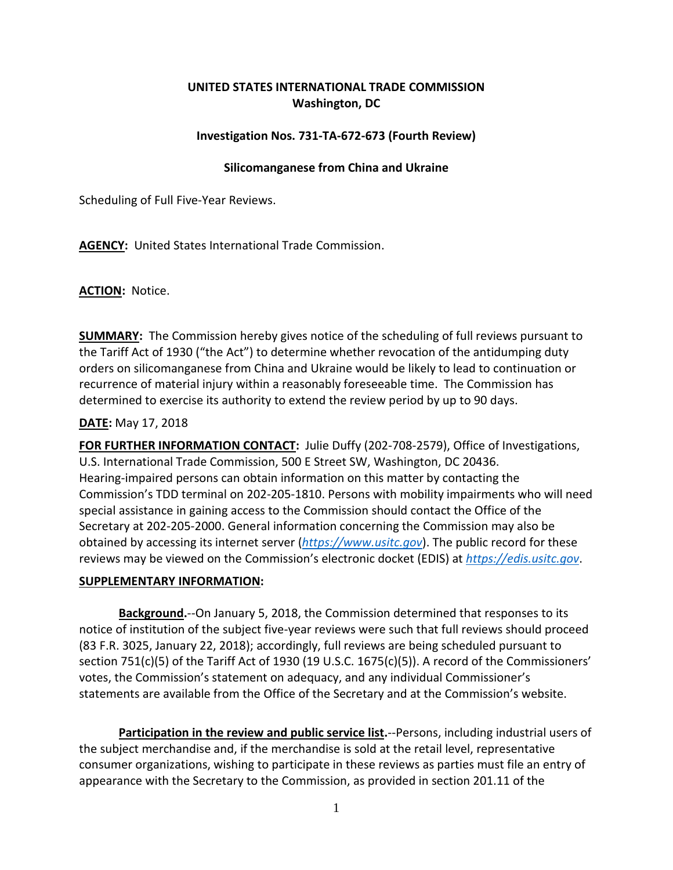# **UNITED STATES INTERNATIONAL TRADE COMMISSION Washington, DC**

## **Investigation Nos. 731-TA-672-673 (Fourth Review)**

## **Silicomanganese from China and Ukraine**

Scheduling of Full Five-Year Reviews.

**AGENCY:** United States International Trade Commission.

**ACTION:** Notice.

**SUMMARY:** The Commission hereby gives notice of the scheduling of full reviews pursuant to the Tariff Act of 1930 ("the Act") to determine whether revocation of the antidumping duty orders on silicomanganese from China and Ukraine would be likely to lead to continuation or recurrence of material injury within a reasonably foreseeable time. The Commission has determined to exercise its authority to extend the review period by up to 90 days.

### **DATE:** May 17, 2018

**FOR FURTHER INFORMATION CONTACT:** Julie Duffy (202-708-2579), Office of Investigations, U.S. International Trade Commission, 500 E Street SW, Washington, DC 20436. Hearing-impaired persons can obtain information on this matter by contacting the Commission's TDD terminal on 202-205-1810. Persons with mobility impairments who will need special assistance in gaining access to the Commission should contact the Office of the Secretary at 202-205-2000. General information concerning the Commission may also be obtained by accessing its internet server (*[https://www.usitc.gov](https://www.usitc.gov/)*). The public record for these reviews may be viewed on the Commission's electronic docket (EDIS) at *[https://edis.usitc.gov](https://edis.usitc.gov/)*.

### **SUPPLEMENTARY INFORMATION:**

**Background.**--On January 5, 2018, the Commission determined that responses to its notice of institution of the subject five-year reviews were such that full reviews should proceed (83 F.R. 3025, January 22, 2018); accordingly, full reviews are being scheduled pursuant to section 751(c)(5) of the Tariff Act of 1930 (19 U.S.C. 1675(c)(5)). A record of the Commissioners' votes, the Commission's statement on adequacy, and any individual Commissioner's statements are available from the Office of the Secretary and at the Commission's website.

**Participation in the review and public service list.**--Persons, including industrial users of the subject merchandise and, if the merchandise is sold at the retail level, representative consumer organizations, wishing to participate in these reviews as parties must file an entry of appearance with the Secretary to the Commission, as provided in section 201.11 of the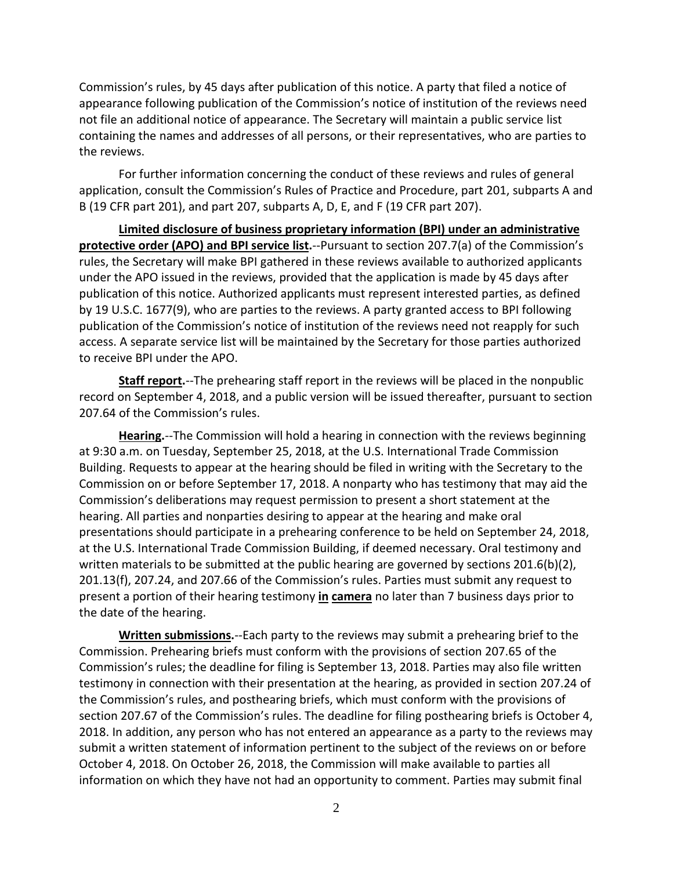Commission's rules, by 45 days after publication of this notice. A party that filed a notice of appearance following publication of the Commission's notice of institution of the reviews need not file an additional notice of appearance. The Secretary will maintain a public service list containing the names and addresses of all persons, or their representatives, who are parties to the reviews.

For further information concerning the conduct of these reviews and rules of general application, consult the Commission's Rules of Practice and Procedure, part 201, subparts A and B (19 CFR part 201), and part 207, subparts A, D, E, and F (19 CFR part 207).

**Limited disclosure of business proprietary information (BPI) under an administrative protective order (APO) and BPI service list.**--Pursuant to section 207.7(a) of the Commission's rules, the Secretary will make BPI gathered in these reviews available to authorized applicants under the APO issued in the reviews, provided that the application is made by 45 days after publication of this notice. Authorized applicants must represent interested parties, as defined by 19 U.S.C. 1677(9), who are parties to the reviews. A party granted access to BPI following publication of the Commission's notice of institution of the reviews need not reapply for such access. A separate service list will be maintained by the Secretary for those parties authorized to receive BPI under the APO.

**Staff report.**--The prehearing staff report in the reviews will be placed in the nonpublic record on September 4, 2018, and a public version will be issued thereafter, pursuant to section 207.64 of the Commission's rules.

**Hearing.**--The Commission will hold a hearing in connection with the reviews beginning at 9:30 a.m. on Tuesday, September 25, 2018, at the U.S. International Trade Commission Building. Requests to appear at the hearing should be filed in writing with the Secretary to the Commission on or before September 17, 2018. A nonparty who has testimony that may aid the Commission's deliberations may request permission to present a short statement at the hearing. All parties and nonparties desiring to appear at the hearing and make oral presentations should participate in a prehearing conference to be held on September 24, 2018, at the U.S. International Trade Commission Building, if deemed necessary. Oral testimony and written materials to be submitted at the public hearing are governed by sections  $201.6(b)(2)$ , 201.13(f), 207.24, and 207.66 of the Commission's rules. Parties must submit any request to present a portion of their hearing testimony **in camera** no later than 7 business days prior to the date of the hearing.

**Written submissions.**--Each party to the reviews may submit a prehearing brief to the Commission. Prehearing briefs must conform with the provisions of section 207.65 of the Commission's rules; the deadline for filing is September 13, 2018. Parties may also file written testimony in connection with their presentation at the hearing, as provided in section 207.24 of the Commission's rules, and posthearing briefs, which must conform with the provisions of section 207.67 of the Commission's rules. The deadline for filing posthearing briefs is October 4, 2018. In addition, any person who has not entered an appearance as a party to the reviews may submit a written statement of information pertinent to the subject of the reviews on or before October 4, 2018. On October 26, 2018, the Commission will make available to parties all information on which they have not had an opportunity to comment. Parties may submit final